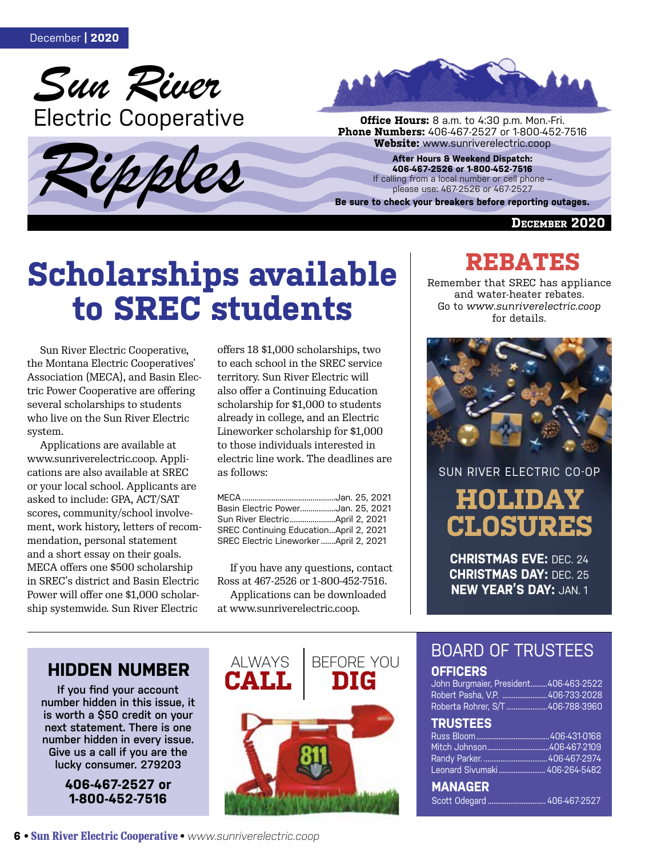





**Phone Numbers:** 406-467-2527 or 1-800-452-7516<br>**Website:** www.sunriverelectric.coop

**After Hours & Weekend Dispatch: 406-467-2526 or 1-800-452-7516** If calling from a local number or cell phone please use: 467-2526 or 467-2527

**Be sure to check your breakers before reporting outages.**

**December 2020**

# **Scholarships available to SREC students**

Sun River Electric Cooperative, the Montana Electric Cooperatives' Association (MECA), and Basin Electric Power Cooperative are offering several scholarships to students who live on the Sun River Electric system.

Applications are available at www.sunriverelectric.coop. Applications are also available at SREC or your local school. Applicants are asked to include: GPA, ACT/SAT scores, community/school involvement, work history, letters of recommendation, personal statement and a short essay on their goals. MECA offers one \$500 scholarship in SREC's district and Basin Electric Power will offer one \$1,000 scholarship systemwide. Sun River Electric

offers 18 \$1,000 scholarships, two to each school in the SREC service territory. Sun River Electric will also offer a Continuing Education scholarship for \$1,000 to students already in college, and an Electric Lineworker scholarship for \$1,000 to those individuals interested in electric line work. The deadlines are as follows:

| Basin Electric PowerJan. 25, 2021      |
|----------------------------------------|
|                                        |
| SREC Continuing EducationApril 2, 2021 |
| SREC Electric LineworkerApril 2, 2021  |

If you have any questions, contact Ross at 467-2526 or 1-800-452-7516. Applications can be downloaded at www.sunriverelectric.coop.

# **REBATES**

Remember that SREC has appliance and water-heater rebates. Go to *www.sunriverelectric.coop* for details.



**HOLIDAY CLOSURES** SUN RIVER ELECTRIC CO-OP

**CHRISTMAS EVE:** DEC. 24 **CHRISTMAS DAY:** DEC. 25 **NEW YEAR'S DAY:** JAN. 1

### **HIDDEN NUMBER ALWAYS**

**If you find your account number hidden in this issue, it is worth a \$50 credit on your next statement. There is one number hidden in every issue. Give us a call if you are the lucky consumer. 279203**

> **406-467-2527 or 1-800-452-7516**



# BOARD OF TRUSTEES

### **OFFICERS**

John Burgmaier, President.........406-463-2522 Robert Pasha, V.P. ........................406-733-2028 Roberta Rohrer, S/T ......................406-788-3960

### **TRUSTEES**

| Leonard Sivumaki  406-264-5482 |  |
|--------------------------------|--|
| <b>MAMARE</b>                  |  |

**MANAGER**  Scott Odegard ............................... 406-467-2527